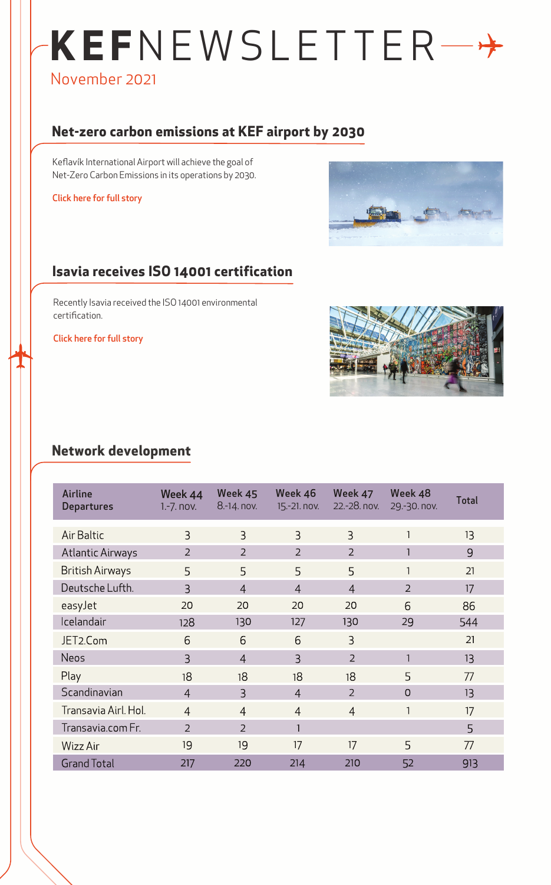# **KEF**NEWSLETTER November 2021

# **Net-zero carbon emissions at KEF airport by 2030**

Keflavík International Airport will achieve the goal of Net-Zero Carbon Emissions in its operations by 2030.

Click here for full story



## **Isavia receives ISO 14001 certification**

Recently Isavia received the ISO 14001 environmental certification.

Click here for full story



#### **Network development**

| Airline<br><b>Departures</b> | Week 44<br>$1.-7.$ nov. | Week 45<br>8.-14. nov. | Week 46<br>15.-21. nov. | Week 47<br>22.-28. nov. | Week 48<br>29.-30. nov. | <b>Total</b> |
|------------------------------|-------------------------|------------------------|-------------------------|-------------------------|-------------------------|--------------|
| <b>Air Baltic</b>            | 3                       | $\overline{3}$         | $\overline{3}$          | 3                       |                         | 13           |
| <b>Atlantic Airways</b>      | $\overline{2}$          | $\overline{2}$         | $\overline{2}$          | $\overline{2}$          |                         | 9            |
| <b>British Airways</b>       | 5                       | 5                      | 5                       | 5                       | 1                       | 21           |
| Deutsche Lufth.              | $\overline{3}$          | $\overline{4}$         | $\overline{4}$          | $\overline{4}$          | $\overline{2}$          | 17           |
| easyJet                      | 20                      | 20                     | 20                      | 20                      | 6                       | 86           |
| Icelandair                   | 128                     | 130                    | 127                     | 130                     | 29                      | 544          |
| JET2.Com                     | 6                       | 6                      | 6                       | $\overline{3}$          |                         | 21           |
| <b>Neos</b>                  | 3                       | $\overline{4}$         | 3                       | $\overline{2}$          |                         | 13           |
| Play                         | 18                      | 18                     | 18                      | 18                      | 5                       | 77           |
| Scandinavian                 | $\overline{4}$          | $\overline{3}$         | $\overline{4}$          | $\overline{2}$          | $\overline{O}$          | 13           |
| Transavia Airl. Hol.         | $\overline{4}$          | $\overline{4}$         | $\overline{4}$          | $\overline{4}$          | 1                       | 17           |
| Transavia.com Fr.            | $\overline{2}$          | 2                      | $\mathbf{1}$            |                         |                         | 5            |
| Wizz Air                     | 19                      | 19                     | 17                      | 17                      | 5                       | 77           |
| <b>Grand Total</b>           | 217                     | 220                    | 214                     | 210                     | 52                      | 913          |